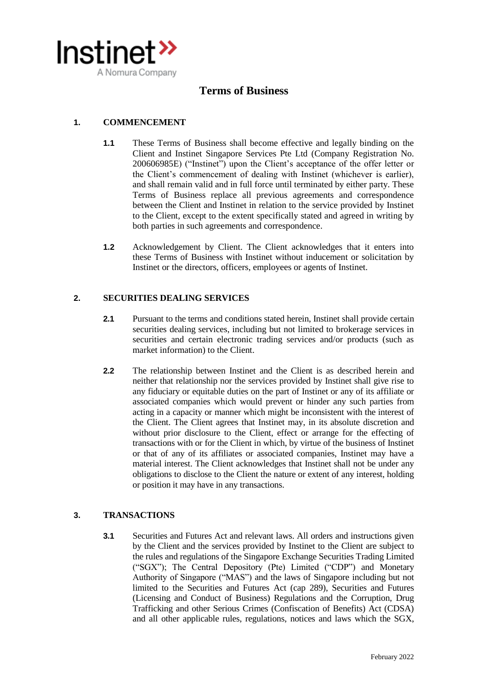

# **Terms of Business**

# **1. COMMENCEMENT**

- **1.1** These Terms of Business shall become effective and legally binding on the Client and Instinet Singapore Services Pte Ltd (Company Registration No. 200606985E) ("Instinet") upon the Client's acceptance of the offer letter or the Client's commencement of dealing with Instinet (whichever is earlier), and shall remain valid and in full force until terminated by either party. These Terms of Business replace all previous agreements and correspondence between the Client and Instinet in relation to the service provided by Instinet to the Client, except to the extent specifically stated and agreed in writing by both parties in such agreements and correspondence.
- **1.2** Acknowledgement by Client. The Client acknowledges that it enters into these Terms of Business with Instinet without inducement or solicitation by Instinet or the directors, officers, employees or agents of Instinet.

#### **2. SECURITIES DEALING SERVICES**

- **2.1** Pursuant to the terms and conditions stated herein, Instinet shall provide certain securities dealing services, including but not limited to brokerage services in securities and certain electronic trading services and/or products (such as market information) to the Client.
- **2.2** The relationship between Instinet and the Client is as described herein and neither that relationship nor the services provided by Instinet shall give rise to any fiduciary or equitable duties on the part of Instinet or any of its affiliate or associated companies which would prevent or hinder any such parties from acting in a capacity or manner which might be inconsistent with the interest of the Client. The Client agrees that Instinet may, in its absolute discretion and without prior disclosure to the Client, effect or arrange for the effecting of transactions with or for the Client in which, by virtue of the business of Instinet or that of any of its affiliates or associated companies, Instinet may have a material interest. The Client acknowledges that Instinet shall not be under any obligations to disclose to the Client the nature or extent of any interest, holding or position it may have in any transactions.

#### **3. TRANSACTIONS**

**3.1** Securities and Futures Act and relevant laws. All orders and instructions given by the Client and the services provided by Instinet to the Client are subject to the rules and regulations of the Singapore Exchange Securities Trading Limited ("SGX"); The Central Depository (Pte) Limited ("CDP") and Monetary Authority of Singapore ("MAS") and the laws of Singapore including but not limited to the Securities and Futures Act (cap 289), Securities and Futures (Licensing and Conduct of Business) Regulations and the Corruption, Drug Trafficking and other Serious Crimes (Confiscation of Benefits) Act (CDSA) and all other applicable rules, regulations, notices and laws which the SGX,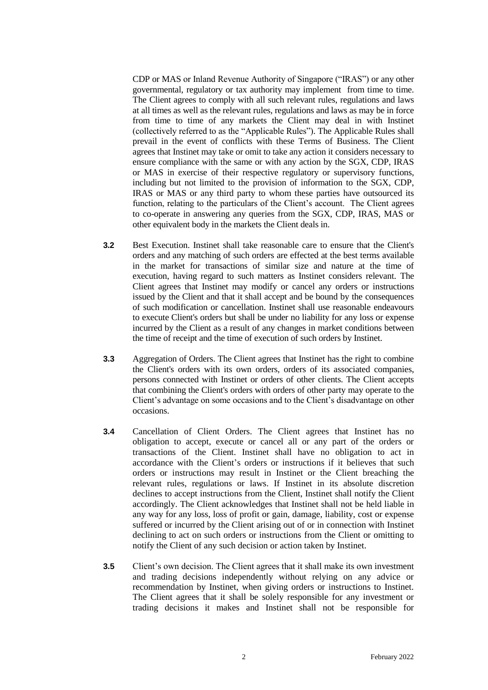CDP or MAS or Inland Revenue Authority of Singapore ("IRAS") or any other governmental, regulatory or tax authority may implement from time to time. The Client agrees to comply with all such relevant rules, regulations and laws at all times as well as the relevant rules, regulations and laws as may be in force from time to time of any markets the Client may deal in with Instinet (collectively referred to as the "Applicable Rules"). The Applicable Rules shall prevail in the event of conflicts with these Terms of Business. The Client agrees that Instinet may take or omit to take any action it considers necessary to ensure compliance with the same or with any action by the SGX, CDP, IRAS or MAS in exercise of their respective regulatory or supervisory functions, including but not limited to the provision of information to the SGX, CDP, IRAS or MAS or any third party to whom these parties have outsourced its function, relating to the particulars of the Client's account. The Client agrees to co-operate in answering any queries from the SGX, CDP, IRAS, MAS or other equivalent body in the markets the Client deals in.

- **3.2** Best Execution. Instinet shall take reasonable care to ensure that the Client's orders and any matching of such orders are effected at the best terms available in the market for transactions of similar size and nature at the time of execution, having regard to such matters as Instinet considers relevant. The Client agrees that Instinet may modify or cancel any orders or instructions issued by the Client and that it shall accept and be bound by the consequences of such modification or cancellation. Instinet shall use reasonable endeavours to execute Client's orders but shall be under no liability for any loss or expense incurred by the Client as a result of any changes in market conditions between the time of receipt and the time of execution of such orders by Instinet.
- **3.3** Aggregation of Orders. The Client agrees that Instinet has the right to combine the Client's orders with its own orders, orders of its associated companies, persons connected with Instinet or orders of other clients. The Client accepts that combining the Client's orders with orders of other party may operate to the Client's advantage on some occasions and to the Client's disadvantage on other occasions.
- **3.4** Cancellation of Client Orders. The Client agrees that Instinet has no obligation to accept, execute or cancel all or any part of the orders or transactions of the Client. Instinet shall have no obligation to act in accordance with the Client's orders or instructions if it believes that such orders or instructions may result in Instinet or the Client breaching the relevant rules, regulations or laws. If Instinet in its absolute discretion declines to accept instructions from the Client, Instinet shall notify the Client accordingly. The Client acknowledges that Instinet shall not be held liable in any way for any loss, loss of profit or gain, damage, liability, cost or expense suffered or incurred by the Client arising out of or in connection with Instinet declining to act on such orders or instructions from the Client or omitting to notify the Client of any such decision or action taken by Instinet.
- **3.5** Client's own decision. The Client agrees that it shall make its own investment and trading decisions independently without relying on any advice or recommendation by Instinet, when giving orders or instructions to Instinet. The Client agrees that it shall be solely responsible for any investment or trading decisions it makes and Instinet shall not be responsible for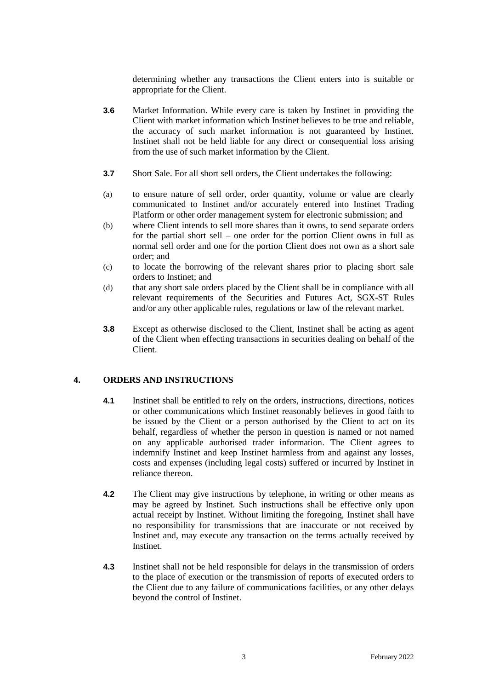determining whether any transactions the Client enters into is suitable or appropriate for the Client.

- **3.6** Market Information. While every care is taken by Instinet in providing the Client with market information which Instinet believes to be true and reliable, the accuracy of such market information is not guaranteed by Instinet. Instinet shall not be held liable for any direct or consequential loss arising from the use of such market information by the Client.
- **3.7** Short Sale. For all short sell orders, the Client undertakes the following:
- (a) to ensure nature of sell order, order quantity, volume or value are clearly communicated to Instinet and/or accurately entered into Instinet Trading Platform or other order management system for electronic submission; and
- (b) where Client intends to sell more shares than it owns, to send separate orders for the partial short sell – one order for the portion Client owns in full as normal sell order and one for the portion Client does not own as a short sale order; and
- (c) to locate the borrowing of the relevant shares prior to placing short sale orders to Instinet; and
- (d) that any short sale orders placed by the Client shall be in compliance with all relevant requirements of the Securities and Futures Act, SGX-ST Rules and/or any other applicable rules, regulations or law of the relevant market.
- **3.8** Except as otherwise disclosed to the Client, Instinet shall be acting as agent of the Client when effecting transactions in securities dealing on behalf of the Client.

#### **4. ORDERS AND INSTRUCTIONS**

- **4.1** Instinet shall be entitled to rely on the orders, instructions, directions, notices or other communications which Instinet reasonably believes in good faith to be issued by the Client or a person authorised by the Client to act on its behalf, regardless of whether the person in question is named or not named on any applicable authorised trader information. The Client agrees to indemnify Instinet and keep Instinet harmless from and against any losses, costs and expenses (including legal costs) suffered or incurred by Instinet in reliance thereon.
- **4.2** The Client may give instructions by telephone, in writing or other means as may be agreed by Instinet. Such instructions shall be effective only upon actual receipt by Instinet. Without limiting the foregoing, Instinet shall have no responsibility for transmissions that are inaccurate or not received by Instinet and, may execute any transaction on the terms actually received by **Instinet**
- **4.3** Instinet shall not be held responsible for delays in the transmission of orders to the place of execution or the transmission of reports of executed orders to the Client due to any failure of communications facilities, or any other delays beyond the control of Instinet.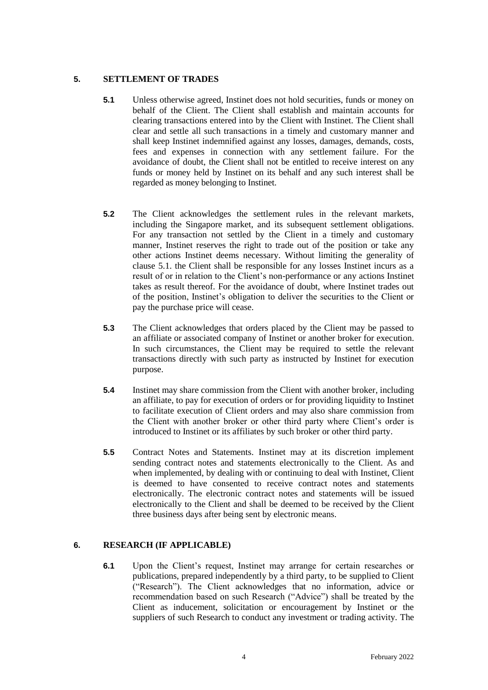## **5. SETTLEMENT OF TRADES**

- **5.1** Unless otherwise agreed, Instinet does not hold securities, funds or money on behalf of the Client. The Client shall establish and maintain accounts for clearing transactions entered into by the Client with Instinet. The Client shall clear and settle all such transactions in a timely and customary manner and shall keep Instinet indemnified against any losses, damages, demands, costs, fees and expenses in connection with any settlement failure. For the avoidance of doubt, the Client shall not be entitled to receive interest on any funds or money held by Instinet on its behalf and any such interest shall be regarded as money belonging to Instinet.
- **5.2** The Client acknowledges the settlement rules in the relevant markets, including the Singapore market, and its subsequent settlement obligations. For any transaction not settled by the Client in a timely and customary manner, Instinet reserves the right to trade out of the position or take any other actions Instinet deems necessary. Without limiting the generality of clause 5.1. the Client shall be responsible for any losses Instinet incurs as a result of or in relation to the Client's non-performance or any actions Instinet takes as result thereof. For the avoidance of doubt, where Instinet trades out of the position, Instinet's obligation to deliver the securities to the Client or pay the purchase price will cease.
- **5.3** The Client acknowledges that orders placed by the Client may be passed to an affiliate or associated company of Instinet or another broker for execution. In such circumstances, the Client may be required to settle the relevant transactions directly with such party as instructed by Instinet for execution purpose.
- **5.4** Instinet may share commission from the Client with another broker, including an affiliate, to pay for execution of orders or for providing liquidity to Instinet to facilitate execution of Client orders and may also share commission from the Client with another broker or other third party where Client's order is introduced to Instinet or its affiliates by such broker or other third party.
- **5.5** Contract Notes and Statements. Instinet may at its discretion implement sending contract notes and statements electronically to the Client. As and when implemented, by dealing with or continuing to deal with Instinet, Client is deemed to have consented to receive contract notes and statements electronically. The electronic contract notes and statements will be issued electronically to the Client and shall be deemed to be received by the Client three business days after being sent by electronic means.

# **6. RESEARCH (IF APPLICABLE)**

**6.1** Upon the Client's request, Instinet may arrange for certain researches or publications, prepared independently by a third party, to be supplied to Client ("Research"). The Client acknowledges that no information, advice or recommendation based on such Research ("Advice") shall be treated by the Client as inducement, solicitation or encouragement by Instinet or the suppliers of such Research to conduct any investment or trading activity. The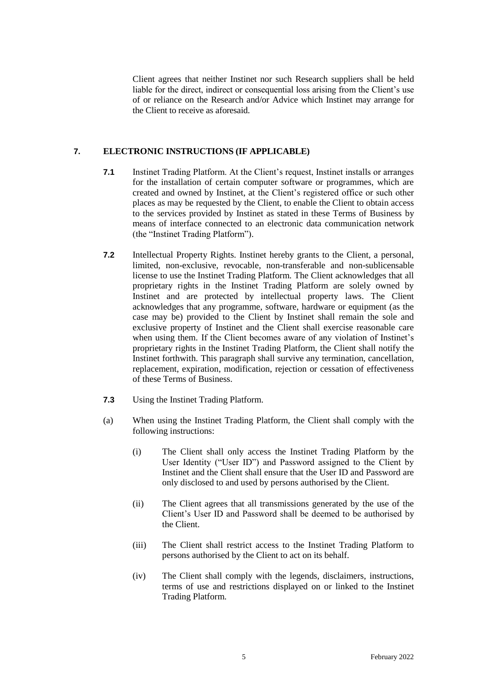Client agrees that neither Instinet nor such Research suppliers shall be held liable for the direct, indirect or consequential loss arising from the Client's use of or reliance on the Research and/or Advice which Instinet may arrange for the Client to receive as aforesaid.

## **7. ELECTRONIC INSTRUCTIONS (IF APPLICABLE)**

- **7.1** Instinet Trading Platform. At the Client's request, Instinet installs or arranges for the installation of certain computer software or programmes, which are created and owned by Instinet, at the Client's registered office or such other places as may be requested by the Client, to enable the Client to obtain access to the services provided by Instinet as stated in these Terms of Business by means of interface connected to an electronic data communication network (the "Instinet Trading Platform").
- **7.2** Intellectual Property Rights. Instinet hereby grants to the Client, a personal, limited, non-exclusive, revocable, non-transferable and non-sublicensable license to use the Instinet Trading Platform. The Client acknowledges that all proprietary rights in the Instinet Trading Platform are solely owned by Instinet and are protected by intellectual property laws. The Client acknowledges that any programme, software, hardware or equipment (as the case may be) provided to the Client by Instinet shall remain the sole and exclusive property of Instinet and the Client shall exercise reasonable care when using them. If the Client becomes aware of any violation of Instinet's proprietary rights in the Instinet Trading Platform, the Client shall notify the Instinet forthwith. This paragraph shall survive any termination, cancellation, replacement, expiration, modification, rejection or cessation of effectiveness of these Terms of Business.
- **7.3** Using the Instinet Trading Platform.
- (a) When using the Instinet Trading Platform, the Client shall comply with the following instructions:
	- (i) The Client shall only access the Instinet Trading Platform by the User Identity ("User ID") and Password assigned to the Client by Instinet and the Client shall ensure that the User ID and Password are only disclosed to and used by persons authorised by the Client.
	- (ii) The Client agrees that all transmissions generated by the use of the Client's User ID and Password shall be deemed to be authorised by the Client.
	- (iii) The Client shall restrict access to the Instinet Trading Platform to persons authorised by the Client to act on its behalf.
	- (iv) The Client shall comply with the legends, disclaimers, instructions, terms of use and restrictions displayed on or linked to the Instinet Trading Platform.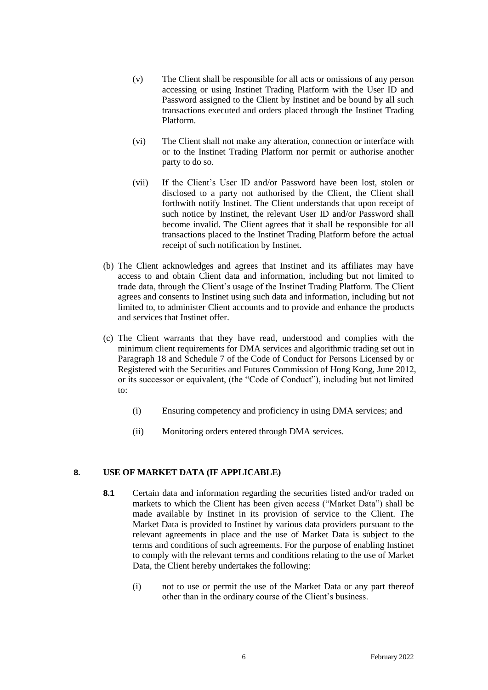- (v) The Client shall be responsible for all acts or omissions of any person accessing or using Instinet Trading Platform with the User ID and Password assigned to the Client by Instinet and be bound by all such transactions executed and orders placed through the Instinet Trading Platform.
- (vi) The Client shall not make any alteration, connection or interface with or to the Instinet Trading Platform nor permit or authorise another party to do so.
- (vii) If the Client's User ID and/or Password have been lost, stolen or disclosed to a party not authorised by the Client, the Client shall forthwith notify Instinet. The Client understands that upon receipt of such notice by Instinet, the relevant User ID and/or Password shall become invalid. The Client agrees that it shall be responsible for all transactions placed to the Instinet Trading Platform before the actual receipt of such notification by Instinet.
- (b) The Client acknowledges and agrees that Instinet and its affiliates may have access to and obtain Client data and information, including but not limited to trade data, through the Client's usage of the Instinet Trading Platform. The Client agrees and consents to Instinet using such data and information, including but not limited to, to administer Client accounts and to provide and enhance the products and services that Instinet offer.
- (c) The Client warrants that they have read, understood and complies with the minimum client requirements for DMA services and algorithmic trading set out in Paragraph 18 and Schedule 7 of the Code of Conduct for Persons Licensed by or Registered with the Securities and Futures Commission of Hong Kong, June 2012, or its successor or equivalent, (the "Code of Conduct"), including but not limited to:
	- (i) Ensuring competency and proficiency in using DMA services; and
	- (ii) Monitoring orders entered through DMA services.

#### **8. USE OF MARKET DATA (IF APPLICABLE)**

- **8.1** Certain data and information regarding the securities listed and/or traded on markets to which the Client has been given access ("Market Data") shall be made available by Instinet in its provision of service to the Client. The Market Data is provided to Instinet by various data providers pursuant to the relevant agreements in place and the use of Market Data is subject to the terms and conditions of such agreements. For the purpose of enabling Instinet to comply with the relevant terms and conditions relating to the use of Market Data, the Client hereby undertakes the following:
	- (i) not to use or permit the use of the Market Data or any part thereof other than in the ordinary course of the Client's business.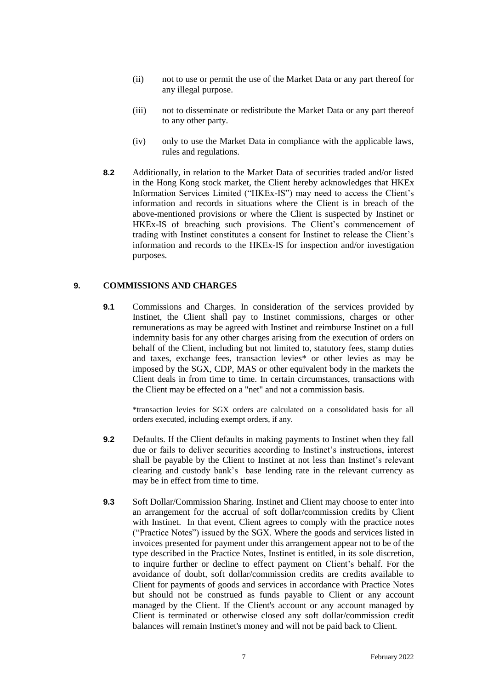- (ii) not to use or permit the use of the Market Data or any part thereof for any illegal purpose.
- (iii) not to disseminate or redistribute the Market Data or any part thereof to any other party.
- (iv) only to use the Market Data in compliance with the applicable laws, rules and regulations.
- **8.2** Additionally, in relation to the Market Data of securities traded and/or listed in the Hong Kong stock market, the Client hereby acknowledges that HKEx Information Services Limited ("HKEx-IS") may need to access the Client's information and records in situations where the Client is in breach of the above-mentioned provisions or where the Client is suspected by Instinet or HKEx-IS of breaching such provisions. The Client's commencement of trading with Instinet constitutes a consent for Instinet to release the Client's information and records to the HKEx-IS for inspection and/or investigation purposes.

#### **9. COMMISSIONS AND CHARGES**

**9.1** Commissions and Charges. In consideration of the services provided by Instinet, the Client shall pay to Instinet commissions, charges or other remunerations as may be agreed with Instinet and reimburse Instinet on a full indemnity basis for any other charges arising from the execution of orders on behalf of the Client, including but not limited to, statutory fees, stamp duties and taxes, exchange fees, transaction levies\* or other levies as may be imposed by the SGX, CDP, MAS or other equivalent body in the markets the Client deals in from time to time. In certain circumstances, transactions with the Client may be effected on a "net" and not a commission basis.

\*transaction levies for SGX orders are calculated on a consolidated basis for all orders executed, including exempt orders, if any.

- **9.2** Defaults. If the Client defaults in making payments to Instinet when they fall due or fails to deliver securities according to Instinet's instructions, interest shall be payable by the Client to Instinet at not less than Instinet's relevant clearing and custody bank's base lending rate in the relevant currency as may be in effect from time to time.
- **9.3** Soft Dollar/Commission Sharing. Instinet and Client may choose to enter into an arrangement for the accrual of soft dollar/commission credits by Client with Instinet. In that event, Client agrees to comply with the practice notes ("Practice Notes") issued by the SGX. Where the goods and services listed in invoices presented for payment under this arrangement appear not to be of the type described in the Practice Notes, Instinet is entitled, in its sole discretion, to inquire further or decline to effect payment on Client's behalf. For the avoidance of doubt, soft dollar/commission credits are credits available to Client for payments of goods and services in accordance with Practice Notes but should not be construed as funds payable to Client or any account managed by the Client. If the Client's account or any account managed by Client is terminated or otherwise closed any soft dollar/commission credit balances will remain Instinet's money and will not be paid back to Client.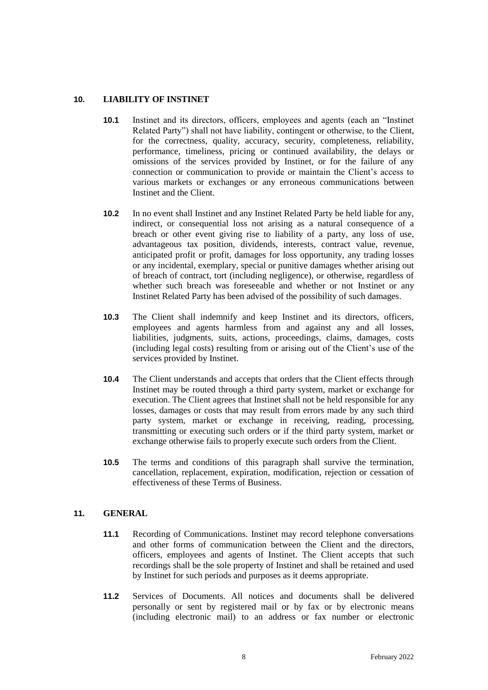## **10. LIABILITY OF INSTINET**

- **10.1** Instinet and its directors, officers, employees and agents (each an "Instinet Related Party") shall not have liability, contingent or otherwise, to the Client, for the correctness, quality, accuracy, security, completeness, reliability, performance, timeliness, pricing or continued availability, the delays or omissions of the services provided by Instinet, or for the failure of any connection or communication to provide or maintain the Client's access to various markets or exchanges or any erroneous communications between Instinet and the Client.
- **10.2** In no event shall Instinet and any Instinet Related Party be held liable for any, indirect, or consequential loss not arising as a natural consequence of a breach or other event giving rise to liability of a party, any loss of use, advantageous tax position, dividends, interests, contract value, revenue, anticipated profit or profit, damages for loss opportunity, any trading losses or any incidental, exemplary, special or punitive damages whether arising out of breach of contract, tort (including negligence), or otherwise, regardless of whether such breach was foreseeable and whether or not Instinet or any Instinet Related Party has been advised of the possibility of such damages.
- **10.3** The Client shall indemnify and keep Instinet and its directors, officers, employees and agents harmless from and against any and all losses, liabilities, judgments, suits, actions, proceedings, claims, damages, costs (including legal costs) resulting from or arising out of the Client's use of the services provided by Instinet.
- **10.4** The Client understands and accepts that orders that the Client effects through Instinet may be routed through a third party system, market or exchange for execution. The Client agrees that Instinet shall not be held responsible for any losses, damages or costs that may result from errors made by any such third party system, market or exchange in receiving, reading, processing, transmitting or executing such orders or if the third party system, market or exchange otherwise fails to properly execute such orders from the Client.
- **10.5** The terms and conditions of this paragraph shall survive the termination, cancellation, replacement, expiration, modification, rejection or cessation of effectiveness of these Terms of Business.

# **11. GENERAL**

- **11.1** Recording of Communications. Instinet may record telephone conversations and other forms of communication between the Client and the directors, officers, employees and agents of Instinet. The Client accepts that such recordings shall be the sole property of Instinet and shall be retained and used by Instinet for such periods and purposes as it deems appropriate.
- **11.2** Services of Documents. All notices and documents shall be delivered personally or sent by registered mail or by fax or by electronic means (including electronic mail) to an address or fax number or electronic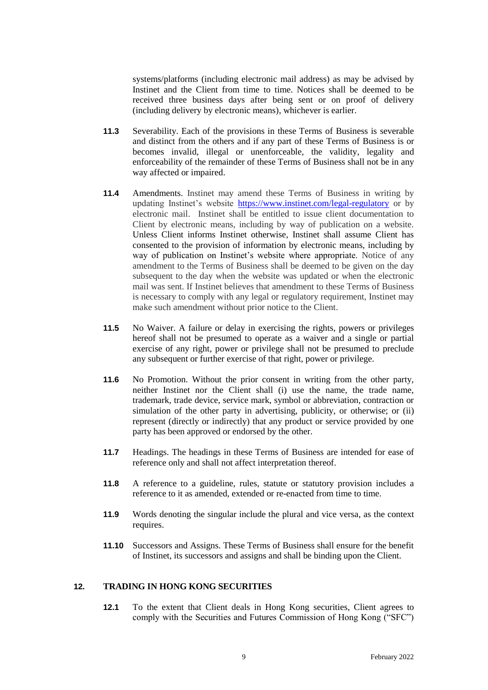systems/platforms (including electronic mail address) as may be advised by Instinet and the Client from time to time. Notices shall be deemed to be received three business days after being sent or on proof of delivery (including delivery by electronic means), whichever is earlier.

- **11.3** Severability. Each of the provisions in these Terms of Business is severable and distinct from the others and if any part of these Terms of Business is or becomes invalid, illegal or unenforceable, the validity, legality and enforceability of the remainder of these Terms of Business shall not be in any way affected or impaired.
- **11.4** Amendments. Instinet may amend these Terms of Business in writing by updating Instinet's website<https://www.instinet.com/legal-regulatory> or by electronic mail. Instinet shall be entitled to issue client documentation to Client by electronic means, including by way of publication on a website. Unless Client informs Instinet otherwise, Instinet shall assume Client has consented to the provision of information by electronic means, including by way of publication on Instinet's website where appropriate. Notice of any amendment to the Terms of Business shall be deemed to be given on the day subsequent to the day when the website was updated or when the electronic mail was sent. If Instinet believes that amendment to these Terms of Business is necessary to comply with any legal or regulatory requirement, Instinet may make such amendment without prior notice to the Client.
- **11.5** No Waiver. A failure or delay in exercising the rights, powers or privileges hereof shall not be presumed to operate as a waiver and a single or partial exercise of any right, power or privilege shall not be presumed to preclude any subsequent or further exercise of that right, power or privilege.
- **11.6** No Promotion. Without the prior consent in writing from the other party, neither Instinet nor the Client shall (i) use the name, the trade name, trademark, trade device, service mark, symbol or abbreviation, contraction or simulation of the other party in advertising, publicity, or otherwise; or (ii) represent (directly or indirectly) that any product or service provided by one party has been approved or endorsed by the other.
- **11.7** Headings. The headings in these Terms of Business are intended for ease of reference only and shall not affect interpretation thereof.
- **11.8** A reference to a guideline, rules, statute or statutory provision includes a reference to it as amended, extended or re-enacted from time to time.
- **11.9** Words denoting the singular include the plural and vice versa, as the context requires.
- **11.10** Successors and Assigns. These Terms of Business shall ensure for the benefit of Instinet, its successors and assigns and shall be binding upon the Client.

## **12. TRADING IN HONG KONG SECURITIES**

**12.1** To the extent that Client deals in Hong Kong securities, Client agrees to comply with the Securities and Futures Commission of Hong Kong ("SFC")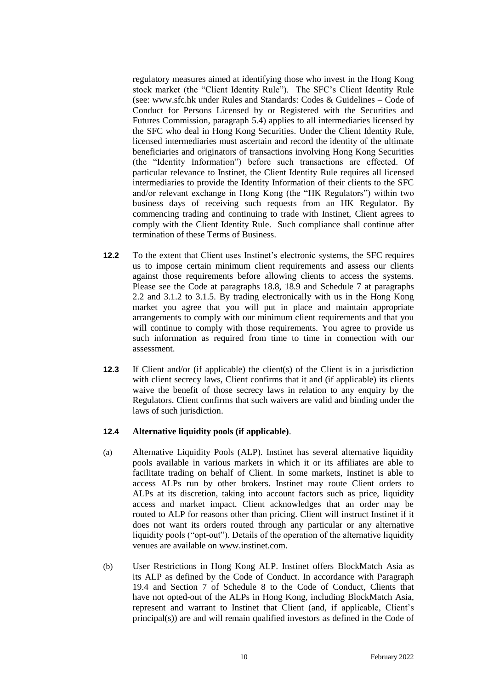regulatory measures aimed at identifying those who invest in the Hong Kong stock market (the "Client Identity Rule"). The SFC's Client Identity Rule (see: www.sfc.hk under Rules and Standards: Codes & Guidelines – Code of Conduct for Persons Licensed by or Registered with the Securities and Futures Commission, paragraph 5.4) applies to all intermediaries licensed by the SFC who deal in Hong Kong Securities. Under the Client Identity Rule, licensed intermediaries must ascertain and record the identity of the ultimate beneficiaries and originators of transactions involving Hong Kong Securities (the "Identity Information") before such transactions are effected. Of particular relevance to Instinet, the Client Identity Rule requires all licensed intermediaries to provide the Identity Information of their clients to the SFC and/or relevant exchange in Hong Kong (the "HK Regulators") within two business days of receiving such requests from an HK Regulator. By commencing trading and continuing to trade with Instinet, Client agrees to comply with the Client Identity Rule. Such compliance shall continue after termination of these Terms of Business.

- **12.2** To the extent that Client uses Instinet's electronic systems, the SFC requires us to impose certain minimum client requirements and assess our clients against those requirements before allowing clients to access the systems. Please see the Code at paragraphs 18.8, 18.9 and Schedule 7 at paragraphs 2.2 and 3.1.2 to 3.1.5. By trading electronically with us in the Hong Kong market you agree that you will put in place and maintain appropriate arrangements to comply with our minimum client requirements and that you will continue to comply with those requirements. You agree to provide us such information as required from time to time in connection with our assessment.
- **12.3** If Client and/or (if applicable) the client(s) of the Client is in a jurisdiction with client secrecy laws, Client confirms that it and (if applicable) its clients waive the benefit of those secrecy laws in relation to any enquiry by the Regulators. Client confirms that such waivers are valid and binding under the laws of such jurisdiction.

#### **12.4 Alternative liquidity pools (if applicable)**.

- (a) Alternative Liquidity Pools (ALP). Instinet has several alternative liquidity pools available in various markets in which it or its affiliates are able to facilitate trading on behalf of Client. In some markets, Instinet is able to access ALPs run by other brokers. Instinet may route Client orders to ALPs at its discretion, taking into account factors such as price, liquidity access and market impact. Client acknowledges that an order may be routed to ALP for reasons other than pricing. Client will instruct Instinet if it does not want its orders routed through any particular or any alternative liquidity pools ("opt-out"). Details of the operation of the alternative liquidity venues are available o[n www.instinet.com.](file:///C:/Users/86078a/AppData/Local/Microsoft/Windows/INetCache/86078a/AppData/Local/Microsoft/Windows/INetCache/86199c.AMERICAS/AppData/Local/Temp/notes723CBC/www.instinet.com)
- (b) User Restrictions in Hong Kong ALP. Instinet offers BlockMatch Asia as its ALP as defined by the Code of Conduct. In accordance with Paragraph 19.4 and Section 7 of Schedule 8 to the Code of Conduct, Clients that have not opted-out of the ALPs in Hong Kong, including BlockMatch Asia, represent and warrant to Instinet that Client (and, if applicable, Client's principal(s)) are and will remain qualified investors as defined in the Code of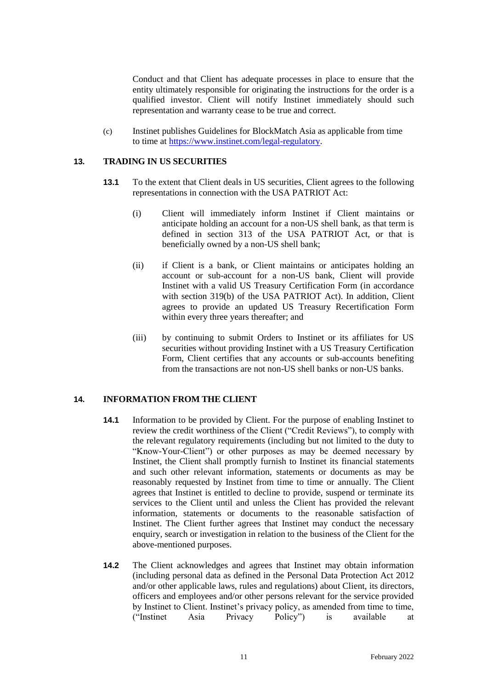Conduct and that Client has adequate processes in place to ensure that the entity ultimately responsible for originating the instructions for the order is a qualified investor. Client will notify Instinet immediately should such representation and warranty cease to be true and correct.

(c) Instinet publishes Guidelines for BlockMatch Asia as applicable from time to time at [https://www.instinet.com/legal-regulatory.](https://www.instinet.com/legal-regulatory)

#### **13. TRADING IN US SECURITIES**

- **13.1** To the extent that Client deals in US securities, Client agrees to the following representations in connection with the USA PATRIOT Act:
	- (i) Client will immediately inform Instinet if Client maintains or anticipate holding an account for a non-US shell bank, as that term is defined in section 313 of the USA PATRIOT Act, or that is beneficially owned by a non-US shell bank;
	- (ii) if Client is a bank, or Client maintains or anticipates holding an account or sub-account for a non-US bank, Client will provide Instinet with a valid US Treasury Certification Form (in accordance with section 319(b) of the USA PATRIOT Act). In addition, Client agrees to provide an updated US Treasury Recertification Form within every three years thereafter; and
	- (iii) by continuing to submit Orders to Instinet or its affiliates for US securities without providing Instinet with a US Treasury Certification Form, Client certifies that any accounts or sub-accounts benefiting from the transactions are not non-US shell banks or non-US banks.

## **14. INFORMATION FROM THE CLIENT**

- **14.1** Information to be provided by Client. For the purpose of enabling Instinet to review the credit worthiness of the Client ("Credit Reviews"), to comply with the relevant regulatory requirements (including but not limited to the duty to "Know-Your-Client") or other purposes as may be deemed necessary by Instinet, the Client shall promptly furnish to Instinet its financial statements and such other relevant information, statements or documents as may be reasonably requested by Instinet from time to time or annually. The Client agrees that Instinet is entitled to decline to provide, suspend or terminate its services to the Client until and unless the Client has provided the relevant information, statements or documents to the reasonable satisfaction of Instinet. The Client further agrees that Instinet may conduct the necessary enquiry, search or investigation in relation to the business of the Client for the above-mentioned purposes.
- **14.2** The Client acknowledges and agrees that Instinet may obtain information (including personal data as defined in the Personal Data Protection Act 2012 and/or other applicable laws, rules and regulations) about Client, its directors, officers and employees and/or other persons relevant for the service provided by Instinet to Client. Instinet's privacy policy, as amended from time to time, ("Instinet Asia Privacy Policy") is available at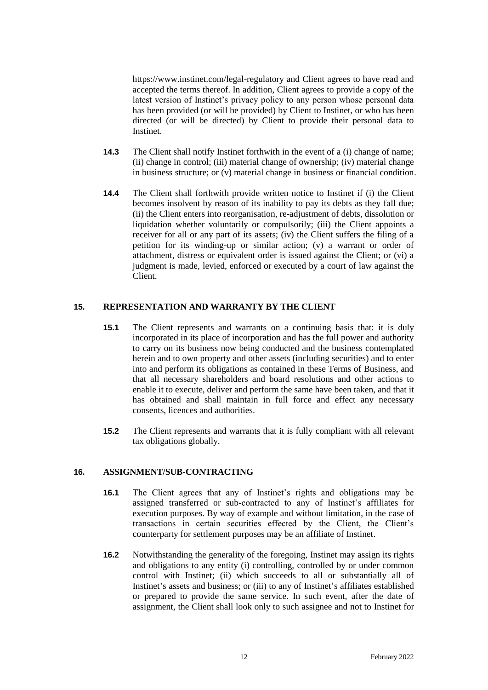https://www.instinet.com/legal-regulatory and Client agrees to have read and accepted the terms thereof. In addition, Client agrees to provide a copy of the latest version of Instinet's privacy policy to any person whose personal data has been provided (or will be provided) by Client to Instinet, or who has been directed (or will be directed) by Client to provide their personal data to Instinet.

- **14.3** The Client shall notify Instinet forthwith in the event of a (i) change of name; (ii) change in control; (iii) material change of ownership; (iv) material change in business structure; or (v) material change in business or financial condition.
- **14.4** The Client shall forthwith provide written notice to Instinet if (i) the Client becomes insolvent by reason of its inability to pay its debts as they fall due; (ii) the Client enters into reorganisation, re-adjustment of debts, dissolution or liquidation whether voluntarily or compulsorily; (iii) the Client appoints a receiver for all or any part of its assets; (iv) the Client suffers the filing of a petition for its winding-up or similar action; (v) a warrant or order of attachment, distress or equivalent order is issued against the Client; or (vi) a judgment is made, levied, enforced or executed by a court of law against the Client.

#### **15. REPRESENTATION AND WARRANTY BY THE CLIENT**

- **15.1** The Client represents and warrants on a continuing basis that: it is duly incorporated in its place of incorporation and has the full power and authority to carry on its business now being conducted and the business contemplated herein and to own property and other assets (including securities) and to enter into and perform its obligations as contained in these Terms of Business, and that all necessary shareholders and board resolutions and other actions to enable it to execute, deliver and perform the same have been taken, and that it has obtained and shall maintain in full force and effect any necessary consents, licences and authorities.
- **15.2** The Client represents and warrants that it is fully compliant with all relevant tax obligations globally.

# **16. ASSIGNMENT/SUB-CONTRACTING**

- **16.1** The Client agrees that any of Instinet's rights and obligations may be assigned transferred or sub-contracted to any of Instinet's affiliates for execution purposes. By way of example and without limitation, in the case of transactions in certain securities effected by the Client, the Client's counterparty for settlement purposes may be an affiliate of Instinet.
- **16.2** Notwithstanding the generality of the foregoing, Instinet may assign its rights and obligations to any entity (i) controlling, controlled by or under common control with Instinet; (ii) which succeeds to all or substantially all of Instinet's assets and business; or (iii) to any of Instinet's affiliates established or prepared to provide the same service. In such event, after the date of assignment, the Client shall look only to such assignee and not to Instinet for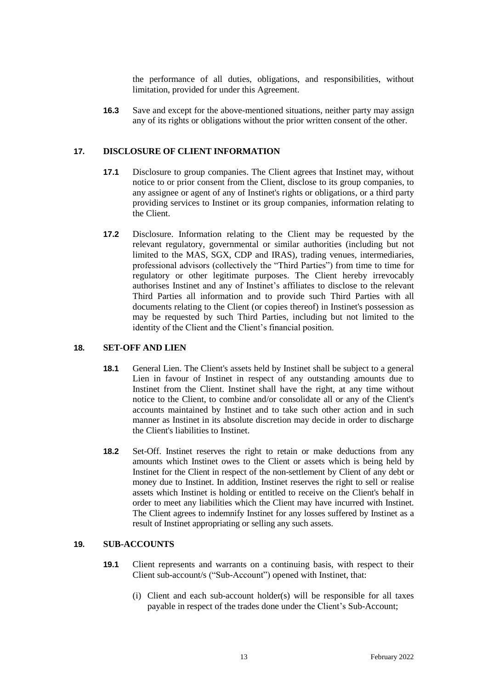the performance of all duties, obligations, and responsibilities, without limitation, provided for under this Agreement.

**16.3** Save and except for the above-mentioned situations, neither party may assign any of its rights or obligations without the prior written consent of the other.

#### **17. DISCLOSURE OF CLIENT INFORMATION**

- **17.1** Disclosure to group companies. The Client agrees that Instinet may, without notice to or prior consent from the Client, disclose to its group companies, to any assignee or agent of any of Instinet's rights or obligations, or a third party providing services to Instinet or its group companies, information relating to the Client.
- **17.2** Disclosure. Information relating to the Client may be requested by the relevant regulatory, governmental or similar authorities (including but not limited to the MAS, SGX, CDP and IRAS), trading venues, intermediaries, professional advisors (collectively the "Third Parties") from time to time for regulatory or other legitimate purposes. The Client hereby irrevocably authorises Instinet and any of Instinet's affiliates to disclose to the relevant Third Parties all information and to provide such Third Parties with all documents relating to the Client (or copies thereof) in Instinet's possession as may be requested by such Third Parties, including but not limited to the identity of the Client and the Client's financial position.

#### **18. SET-OFF AND LIEN**

- **18.1** General Lien. The Client's assets held by Instinet shall be subject to a general Lien in favour of Instinet in respect of any outstanding amounts due to Instinet from the Client. Instinet shall have the right, at any time without notice to the Client, to combine and/or consolidate all or any of the Client's accounts maintained by Instinet and to take such other action and in such manner as Instinet in its absolute discretion may decide in order to discharge the Client's liabilities to Instinet.
- **18.2** Set-Off. Instinet reserves the right to retain or make deductions from any amounts which Instinet owes to the Client or assets which is being held by Instinet for the Client in respect of the non-settlement by Client of any debt or money due to Instinet. In addition, Instinet reserves the right to sell or realise assets which Instinet is holding or entitled to receive on the Client's behalf in order to meet any liabilities which the Client may have incurred with Instinet. The Client agrees to indemnify Instinet for any losses suffered by Instinet as a result of Instinet appropriating or selling any such assets.

## **19. SUB-ACCOUNTS**

- **19.1** Client represents and warrants on a continuing basis, with respect to their Client sub-account/s ("Sub-Account") opened with Instinet, that:
	- (i) Client and each sub-account holder(s) will be responsible for all taxes payable in respect of the trades done under the Client's Sub-Account;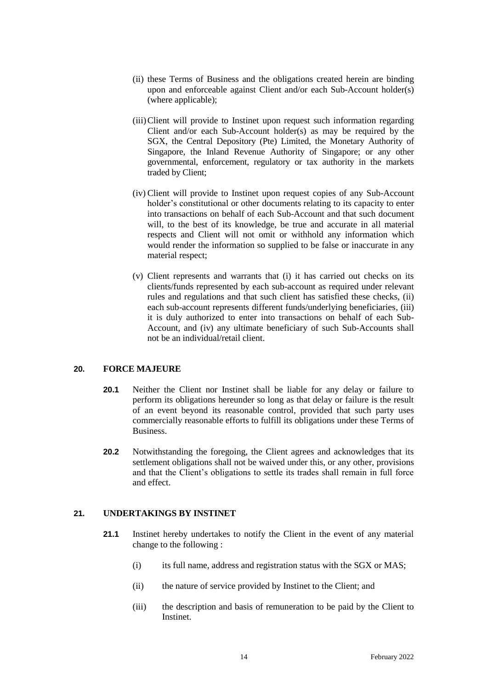- (ii) these Terms of Business and the obligations created herein are binding upon and enforceable against Client and/or each Sub-Account holder(s) (where applicable);
- (iii)Client will provide to Instinet upon request such information regarding Client and/or each Sub-Account holder(s) as may be required by the SGX, the Central Depository (Pte) Limited, the Monetary Authority of Singapore, the Inland Revenue Authority of Singapore; or any other governmental, enforcement, regulatory or tax authority in the markets traded by Client;
- (iv) Client will provide to Instinet upon request copies of any Sub-Account holder's constitutional or other documents relating to its capacity to enter into transactions on behalf of each Sub-Account and that such document will, to the best of its knowledge, be true and accurate in all material respects and Client will not omit or withhold any information which would render the information so supplied to be false or inaccurate in any material respect;
- (v) Client represents and warrants that (i) it has carried out checks on its clients/funds represented by each sub-account as required under relevant rules and regulations and that such client has satisfied these checks, (ii) each sub-account represents different funds/underlying beneficiaries, (iii) it is duly authorized to enter into transactions on behalf of each Sub-Account, and (iv) any ultimate beneficiary of such Sub-Accounts shall not be an individual/retail client.

#### **20. FORCE MAJEURE**

- **20.1** Neither the Client nor Instinet shall be liable for any delay or failure to perform its obligations hereunder so long as that delay or failure is the result of an event beyond its reasonable control, provided that such party uses commercially reasonable efforts to fulfill its obligations under these Terms of Business.
- **20.2** Notwithstanding the foregoing, the Client agrees and acknowledges that its settlement obligations shall not be waived under this, or any other, provisions and that the Client's obligations to settle its trades shall remain in full force and effect.

#### **21. UNDERTAKINGS BY INSTINET**

- **21.1** Instinet hereby undertakes to notify the Client in the event of any material change to the following :
	- $(i)$  its full name, address and registration status with the SGX or MAS;
	- (ii) the nature of service provided by Instinet to the Client; and
	- (iii) the description and basis of remuneration to be paid by the Client to Instinet.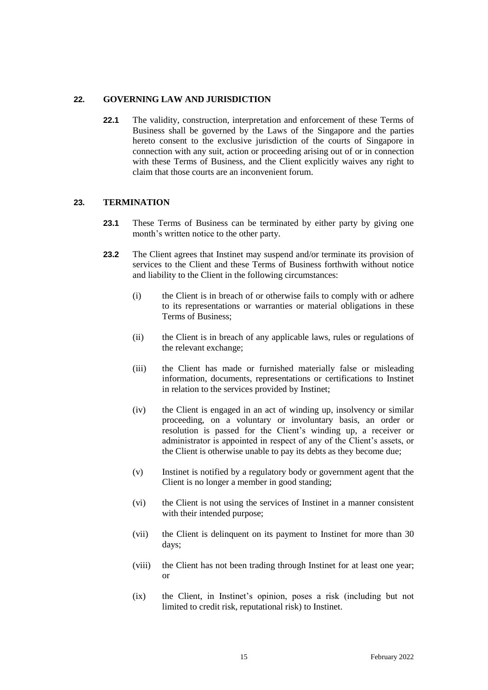## **22. GOVERNING LAW AND JURISDICTION**

**22.1** The validity, construction, interpretation and enforcement of these Terms of Business shall be governed by the Laws of the Singapore and the parties hereto consent to the exclusive jurisdiction of the courts of Singapore in connection with any suit, action or proceeding arising out of or in connection with these Terms of Business, and the Client explicitly waives any right to claim that those courts are an inconvenient forum.

## **23. TERMINATION**

- **23.1** These Terms of Business can be terminated by either party by giving one month's written notice to the other party.
- **23.2** The Client agrees that Instinet may suspend and/or terminate its provision of services to the Client and these Terms of Business forthwith without notice and liability to the Client in the following circumstances:
	- (i) the Client is in breach of or otherwise fails to comply with or adhere to its representations or warranties or material obligations in these Terms of Business;
	- (ii) the Client is in breach of any applicable laws, rules or regulations of the relevant exchange;
	- (iii) the Client has made or furnished materially false or misleading information, documents, representations or certifications to Instinet in relation to the services provided by Instinet;
	- (iv) the Client is engaged in an act of winding up, insolvency or similar proceeding, on a voluntary or involuntary basis, an order or resolution is passed for the Client's winding up, a receiver or administrator is appointed in respect of any of the Client's assets, or the Client is otherwise unable to pay its debts as they become due;
	- (v) Instinet is notified by a regulatory body or government agent that the Client is no longer a member in good standing;
	- (vi) the Client is not using the services of Instinet in a manner consistent with their intended purpose;
	- (vii) the Client is delinquent on its payment to Instinet for more than 30 days;
	- (viii) the Client has not been trading through Instinet for at least one year; or
	- (ix) the Client, in Instinet's opinion, poses a risk (including but not limited to credit risk, reputational risk) to Instinet.